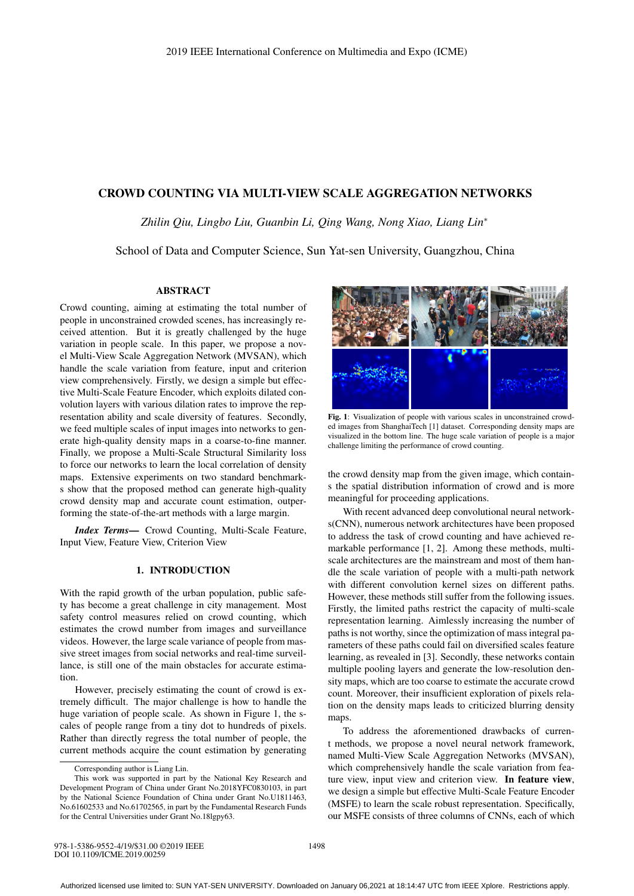# CROWD COUNTING VIA MULTI-VIEW SCALE AGGREGATION NETWORKS

*Zhilin Qiu, Lingbo Liu, Guanbin Li, Qing Wang, Nong Xiao, Liang Lin*<sup>∗</sup>

School of Data and Computer Science, Sun Yat-sen University, Guangzhou, China

## ABSTRACT

Crowd counting, aiming at estimating the total number of people in unconstrained crowded scenes, has increasingly received attention. But it is greatly challenged by the huge variation in people scale. In this paper, we propose a novel Multi-View Scale Aggregation Network (MVSAN), which handle the scale variation from feature, input and criterion view comprehensively. Firstly, we design a simple but effective Multi-Scale Feature Encoder, which exploits dilated convolution layers with various dilation rates to improve the representation ability and scale diversity of features. Secondly, we feed multiple scales of input images into networks to generate high-quality density maps in a coarse-to-fine manner. Finally, we propose a Multi-Scale Structural Similarity loss to force our networks to learn the local correlation of density maps. Extensive experiments on two standard benchmarks show that the proposed method can generate high-quality crowd density map and accurate count estimation, outperforming the state-of-the-art methods with a large margin.

*Index Terms*— Crowd Counting, Multi-Scale Feature, Input View, Feature View, Criterion View

## 1. INTRODUCTION

With the rapid growth of the urban population, public safety has become a great challenge in city management. Most safety control measures relied on crowd counting, which estimates the crowd number from images and surveillance videos. However, the large scale variance of people from massive street images from social networks and real-time surveillance, is still one of the main obstacles for accurate estimation.

However, precisely estimating the count of crowd is extremely difficult. The major challenge is how to handle the huge variation of people scale. As shown in Figure 1, the scales of people range from a tiny dot to hundreds of pixels. Rather than directly regress the total number of people, the current methods acquire the count estimation by generating



Fig. 1: Visualization of people with various scales in unconstrained crowded images from ShanghaiTech [1] dataset. Corresponding density maps are visualized in the bottom line. The huge scale variation of people is a major challenge limiting the performance of crowd counting.

the crowd density map from the given image, which contains the spatial distribution information of crowd and is more meaningful for proceeding applications.

With recent advanced deep convolutional neural networks(CNN), numerous network architectures have been proposed to address the task of crowd counting and have achieved remarkable performance [1, 2]. Among these methods, multiscale architectures are the mainstream and most of them handle the scale variation of people with a multi-path network with different convolution kernel sizes on different paths. However, these methods still suffer from the following issues. Firstly, the limited paths restrict the capacity of multi-scale representation learning. Aimlessly increasing the number of paths is not worthy, since the optimization of mass integral parameters of these paths could fail on diversified scales feature learning, as revealed in [3]. Secondly, these networks contain multiple pooling layers and generate the low-resolution density maps, which are too coarse to estimate the accurate crowd count. Moreover, their insufficient exploration of pixels relation on the density maps leads to criticized blurring density maps.

To address the aforementioned drawbacks of current methods, we propose a novel neural network framework, named Multi-View Scale Aggregation Networks (MVSAN), which comprehensively handle the scale variation from feature view, input view and criterion view. In feature view, we design a simple but effective Multi-Scale Feature Encoder (MSFE) to learn the scale robust representation. Specifically, our MSFE consists of three columns of CNNs, each of which

Corresponding author is Liang Lin.

This work was supported in part by the National Key Research and Development Program of China under Grant No.2018YFC0830103, in part by the National Science Foundation of China under Grant No.U1811463, No.61602533 and No.61702565, in part by the Fundamental Research Funds for the Central Universities under Grant No.18lgpy63.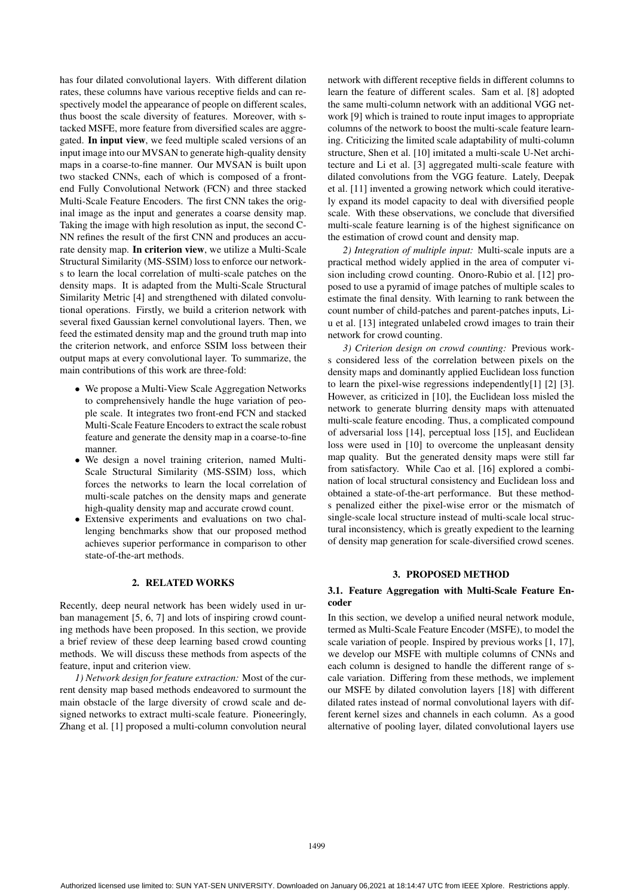has four dilated convolutional layers. With different dilation rates, these columns have various receptive fields and can respectively model the appearance of people on different scales, thus boost the scale diversity of features. Moreover, with stacked MSFE, more feature from diversified scales are aggregated. In input view, we feed multiple scaled versions of an input image into our MVSAN to generate high-quality density maps in a coarse-to-fine manner. Our MVSAN is built upon two stacked CNNs, each of which is composed of a frontend Fully Convolutional Network (FCN) and three stacked Multi-Scale Feature Encoders. The first CNN takes the original image as the input and generates a coarse density map. Taking the image with high resolution as input, the second C-NN refines the result of the first CNN and produces an accurate density map. In criterion view, we utilize a Multi-Scale Structural Similarity (MS-SSIM) loss to enforce our networks to learn the local correlation of multi-scale patches on the density maps. It is adapted from the Multi-Scale Structural Similarity Metric [4] and strengthened with dilated convolutional operations. Firstly, we build a criterion network with several fixed Gaussian kernel convolutional layers. Then, we feed the estimated density map and the ground truth map into the criterion network, and enforce SSIM loss between their output maps at every convolutional layer. To summarize, the main contributions of this work are three-fold:

- We propose a Multi-View Scale Aggregation Networks to comprehensively handle the huge variation of people scale. It integrates two front-end FCN and stacked Multi-Scale Feature Encoders to extract the scale robust feature and generate the density map in a coarse-to-fine manner.
- We design a novel training criterion, named Multi-Scale Structural Similarity (MS-SSIM) loss, which forces the networks to learn the local correlation of multi-scale patches on the density maps and generate high-quality density map and accurate crowd count.
- Extensive experiments and evaluations on two challenging benchmarks show that our proposed method achieves superior performance in comparison to other state-of-the-art methods.

### 2. RELATED WORKS

Recently, deep neural network has been widely used in urban management [5, 6, 7] and lots of inspiring crowd counting methods have been proposed. In this section, we provide a brief review of these deep learning based crowd counting methods. We will discuss these methods from aspects of the feature, input and criterion view.

*1) Network design for feature extraction:* Most of the current density map based methods endeavored to surmount the main obstacle of the large diversity of crowd scale and designed networks to extract multi-scale feature. Pioneeringly, Zhang et al. [1] proposed a multi-column convolution neural network with different receptive fields in different columns to learn the feature of different scales. Sam et al. [8] adopted the same multi-column network with an additional VGG network [9] which is trained to route input images to appropriate columns of the network to boost the multi-scale feature learning. Criticizing the limited scale adaptability of multi-column structure, Shen et al. [10] imitated a multi-scale U-Net architecture and Li et al. [3] aggregated multi-scale feature with dilated convolutions from the VGG feature. Lately, Deepak et al. [11] invented a growing network which could iteratively expand its model capacity to deal with diversified people scale. With these observations, we conclude that diversified multi-scale feature learning is of the highest significance on the estimation of crowd count and density map.

*2) Integration of multiple input:* Multi-scale inputs are a practical method widely applied in the area of computer vision including crowd counting. Onoro-Rubio et al. [12] proposed to use a pyramid of image patches of multiple scales to estimate the final density. With learning to rank between the count number of child-patches and parent-patches inputs, Liu et al. [13] integrated unlabeled crowd images to train their network for crowd counting.

*3) Criterion design on crowd counting:* Previous works considered less of the correlation between pixels on the density maps and dominantly applied Euclidean loss function to learn the pixel-wise regressions independently[1] [2] [3]. However, as criticized in [10], the Euclidean loss misled the network to generate blurring density maps with attenuated multi-scale feature encoding. Thus, a complicated compound of adversarial loss [14], perceptual loss [15], and Euclidean loss were used in [10] to overcome the unpleasant density map quality. But the generated density maps were still far from satisfactory. While Cao et al. [16] explored a combination of local structural consistency and Euclidean loss and obtained a state-of-the-art performance. But these methods penalized either the pixel-wise error or the mismatch of single-scale local structure instead of multi-scale local structural inconsistency, which is greatly expedient to the learning of density map generation for scale-diversified crowd scenes.

# 3. PROPOSED METHOD

# 3.1. Feature Aggregation with Multi-Scale Feature Encoder

In this section, we develop a unified neural network module, termed as Multi-Scale Feature Encoder (MSFE), to model the scale variation of people. Inspired by previous works [1, 17], we develop our MSFE with multiple columns of CNNs and each column is designed to handle the different range of scale variation. Differing from these methods, we implement our MSFE by dilated convolution layers [18] with different dilated rates instead of normal convolutional layers with different kernel sizes and channels in each column. As a good alternative of pooling layer, dilated convolutional layers use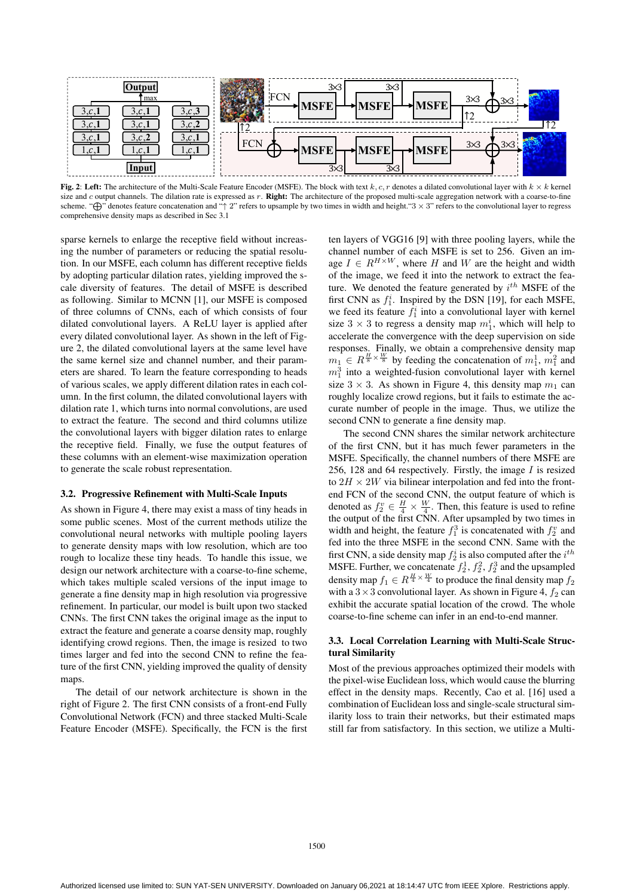

Fig. 2: Left: The architecture of the Multi-Scale Feature Encoder (MSFE). The block with text k, c, r denotes a dilated convolutional layer with  $k \times k$  kernel size and c output channels. The dilation rate is expressed as r. Right: The architecture of the proposed multi-scale aggregation network with a coarse-to-fine scheme. "⊕" denotes feature concatenation and "↑ 2" refers to upsample by two times in width and height."3 × 3" refers to the convolutional layer to regress comprehensive density maps as described in Sec 3.1

sparse kernels to enlarge the receptive field without increasing the number of parameters or reducing the spatial resolution. In our MSFE, each column has different receptive fields by adopting particular dilation rates, yielding improved the scale diversity of features. The detail of MSFE is described as following. Similar to MCNN [1], our MSFE is composed of three columns of CNNs, each of which consists of four dilated convolutional layers. A ReLU layer is applied after every dilated convolutional layer. As shown in the left of Figure 2, the dilated convolutional layers at the same level have the same kernel size and channel number, and their parameters are shared. To learn the feature corresponding to heads of various scales, we apply different dilation rates in each column. In the first column, the dilated convolutional layers with dilation rate 1, which turns into normal convolutions, are used to extract the feature. The second and third columns utilize the convolutional layers with bigger dilation rates to enlarge the receptive field. Finally, we fuse the output features of these columns with an element-wise maximization operation to generate the scale robust representation.

#### 3.2. Progressive Refinement with Multi-Scale Inputs

As shown in Figure 4, there may exist a mass of tiny heads in some public scenes. Most of the current methods utilize the convolutional neural networks with multiple pooling layers to generate density maps with low resolution, which are too rough to localize these tiny heads. To handle this issue, we design our network architecture with a coarse-to-fine scheme, which takes multiple scaled versions of the input image to generate a fine density map in high resolution via progressive refinement. In particular, our model is built upon two stacked CNNs. The first CNN takes the original image as the input to extract the feature and generate a coarse density map, roughly identifying crowd regions. Then, the image is resized to two times larger and fed into the second CNN to refine the feature of the first CNN, yielding improved the quality of density maps.

The detail of our network architecture is shown in the right of Figure 2. The first CNN consists of a front-end Fully Convolutional Network (FCN) and three stacked Multi-Scale Feature Encoder (MSFE). Specifically, the FCN is the first ten layers of VGG16 [9] with three pooling layers, while the channel number of each MSFE is set to 256. Given an image  $I \in R^{H \times W}$ , where H and W are the height and width of the image, we feed it into the network to extract the feature. We denoted the feature generated by  $i^{th}$  MSFE of the first CNN as  $f_1^i$ . Inspired by the DSN [19], for each MSFE, we feed its feature  $f_1^i$  into a convolutional layer with kernel size  $3 \times 3$  to regress a density map  $m_1^i$ , which will help to accelerate the convergence with the deep supervision on side responses. Finally, we obtain a comprehensive density map  $m_1 \n\in R^{\frac{H}{8} \times \frac{W}{8}}$  by feeding the concatenation of  $m_1^1$ ,  $m_1^2$  and  $m_1^3$  into a weighted-fusion convolutional layer with kernel size  $3 \times 3$ . As shown in Figure 4, this density map  $m_1$  can roughly localize crowd regions, but it fails to estimate the accurate number of people in the image. Thus, we utilize the second CNN to generate a fine density map.

The second CNN shares the similar network architecture of the first CNN, but it has much fewer parameters in the MSFE. Specifically, the channel numbers of there MSFE are 256, 128 and 64 respectively. Firstly, the image  $I$  is resized to  $2H \times 2W$  via bilinear interpolation and fed into the frontend FCN of the second CNN, the output feature of which is denoted as  $f_2^v \in \frac{H}{4} \times \frac{W}{4}$ . Then, this feature is used to refine the output of the first CNN. After upsampled by two times in width and height, the feature  $f_1^3$  is concatenated with  $f_2^v$  and fed into the three MSFE in the second CNN. Same with the first CNN, a side density map  $f_2^i$  is also computed after the  $i^{th}$ MSFE. Further, we concatenate  $f_2^1, f_2^2, f_2^3$  and the upsampled density map  $f_1 \in R^{\frac{H}{4} \times \frac{W}{4}}$  to produce the final density map  $f_2$ with a  $3 \times 3$  convolutional layer. As shown in Figure 4,  $f_2$  can exhibit the accurate spatial location of the crowd. The whole coarse-to-fine scheme can infer in an end-to-end manner.

## 3.3. Local Correlation Learning with Multi-Scale Structural Similarity

Most of the previous approaches optimized their models with the pixel-wise Euclidean loss, which would cause the blurring effect in the density maps. Recently, Cao et al. [16] used a combination of Euclidean loss and single-scale structural similarity loss to train their networks, but their estimated maps still far from satisfactory. In this section, we utilize a Multi-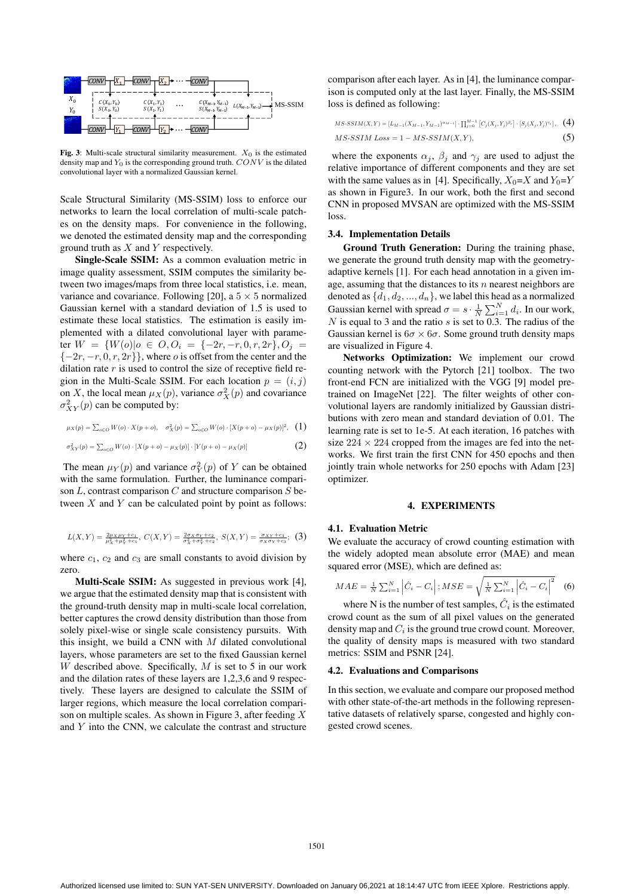

Fig. 3: Multi-scale structural similarity measurement.  $X_0$  is the estimated density map and  $Y_0$  is the corresponding ground truth.  $CONV$  is the dilated convolutional layer with a normalized Gaussian kernel.

Scale Structural Similarity (MS-SSIM) loss to enforce our networks to learn the local correlation of multi-scale patches on the density maps. For convenience in the following, we denoted the estimated density map and the corresponding ground truth as  $X$  and  $Y$  respectively.

Single-Scale SSIM: As a common evaluation metric in image quality assessment, SSIM computes the similarity between two images/maps from three local statistics, i.e. mean, variance and covariance. Following [20], a  $5 \times 5$  normalized Gaussian kernel with a standard deviation of 1.5 is used to estimate these local statistics. The estimation is easily implemented with a dilated convolutional layer with parameter  $W = \{W(o) | o \in O, O_i = \{-2r, -r, 0, r, 2r\}, O_i =$  ${-2r, -r, 0, r, 2r}$ , where *o* is offset from the center and the dilation rate  $r$  is used to control the size of receptive field region in the Multi-Scale SSIM. For each location  $p = (i, j)$ on X, the local mean  $\mu_X(p)$ , variance  $\sigma_X^2(p)$  and covariance  $\sigma_{XY}^2(p)$  can be computed by:

$$
\mu_X(p) = \sum_{o \in O} W(o) \cdot X(p + o), \quad \sigma_X^2(p) = \sum_{o \in O} W(o) \cdot [X(p + o) - \mu_X(p)]^2, \quad (1)
$$

$$
\sigma_{XY}^2(p) = \sum_{o \in O} W(o) \cdot [X(p+o) - \mu_X(p)] \cdot [Y(p+o) - \mu_X(p)] \tag{2}
$$

The mean  $\mu_Y(p)$  and variance  $\sigma_Y^2(p)$  of Y can be obtained with the same formulation. Further, the luminance comparison  $L$ , contrast comparison  $C$  and structure comparison  $S$  between  $X$  and  $Y$  can be calculated point by point as follows:

$$
L(X,Y) = \frac{2\mu_X\mu_Y + c_1}{\mu_X^2 + \mu_Y^2 + c_1}, \ C(X,Y) = \frac{2\sigma_X\sigma_Y + c_2}{\sigma_X^2 + \sigma_Y^2 + c_2}, \ S(X,Y) = \frac{\sigma_{XY} + c_3}{\sigma_X\sigma_Y + c_3}; \ (3)
$$

where  $c_1$ ,  $c_2$  and  $c_3$  are small constants to avoid division by zero.

Multi-Scale SSIM: As suggested in previous work [4], we argue that the estimated density map that is consistent with the ground-truth density map in multi-scale local correlation, better captures the crowd density distribution than those from solely pixel-wise or single scale consistency pursuits. With this insight, we build a CNN with  $M$  dilated convolutional layers, whose parameters are set to the fixed Gaussian kernel W described above. Specifically,  $M$  is set to 5 in our work and the dilation rates of these layers are 1,2,3,6 and 9 respectively. These layers are designed to calculate the SSIM of larger regions, which measure the local correlation comparison on multiple scales. As shown in Figure 3, after feeding  $X$ and Y into the CNN, we calculate the contrast and structure

comparison after each layer. As in [4], the luminance comparison is computed only at the last layer. Finally, the MS-SSIM loss is defined as following:

$$
MS\text{-}SSIM(X,Y) = [L_{M-1}(X_{M-1}, Y_{M-1})^{\alpha_{M-1}}] \cdot \prod_{j=0}^{M-1} [C_j(X_j, Y_j)^{\beta_j}] \cdot [S_j(X_j, Y_j)^{\gamma_j}], \quad (4)
$$
  
MS\text{-}SSIM Loss = 1 - MS\text{-}SSIM(X,Y), (5)

where the exponents  $\alpha_j$ ,  $\beta_j$  and  $\gamma_j$  are used to adjust the relative importance of different components and they are set with the same values as in [4]. Specifically,  $X_0 = X$  and  $Y_0 = Y$ as shown in Figure3. In our work, both the first and second CNN in proposed MVSAN are optimized with the MS-SSIM loss.

#### 3.4. Implementation Details

Ground Truth Generation: During the training phase, we generate the ground truth density map with the geometryadaptive kernels [1]. For each head annotation in a given image, assuming that the distances to its  $n$  nearest neighbors are denoted as  $\{d_1, d_2, ..., d_n\}$ , we label this head as a normalized Gaussian kernel with spread  $\sigma = s \cdot \frac{1}{N} \sum_{i=1}^{N} d_i$ . In our work, N is equal to 3 and the ratio s is set to  $\overline{0.3}$ . The radius of the Gaussian kernel is  $6\sigma \times 6\sigma$ . Some ground truth density maps are visualized in Figure 4.

Networks Optimization: We implement our crowd counting network with the Pytorch [21] toolbox. The two front-end FCN are initialized with the VGG [9] model pretrained on ImageNet [22]. The filter weights of other convolutional layers are randomly initialized by Gaussian distributions with zero mean and standard deviation of 0.01. The learning rate is set to 1e-5. At each iteration, 16 patches with size  $224 \times 224$  cropped from the images are fed into the networks. We first train the first CNN for 450 epochs and then jointly train whole networks for 250 epochs with Adam [23] optimizer.

## 4. EXPERIMENTS

#### 4.1. Evaluation Metric

We evaluate the accuracy of crowd counting estimation with the widely adopted mean absolute error (MAE) and mean squared error (MSE), which are defined as:

$$
MAE = \frac{1}{N} \sum_{i=1}^{N} \left| \hat{C}_i - C_i \right|; MSE = \sqrt{\frac{1}{N} \sum_{i=1}^{N} \left| \hat{C}_i - C_i \right|^2} \quad (6)
$$

where N is the number of test samples,  $C_i$  is the estimated crowd count as the sum of all pixel values on the generated density map and  $C_i$  is the ground true crowd count. Moreover, the quality of density maps is measured with two standard metrics: SSIM and PSNR [24].

#### 4.2. Evaluations and Comparisons

In this section, we evaluate and compare our proposed method with other state-of-the-art methods in the following representative datasets of relatively sparse, congested and highly congested crowd scenes.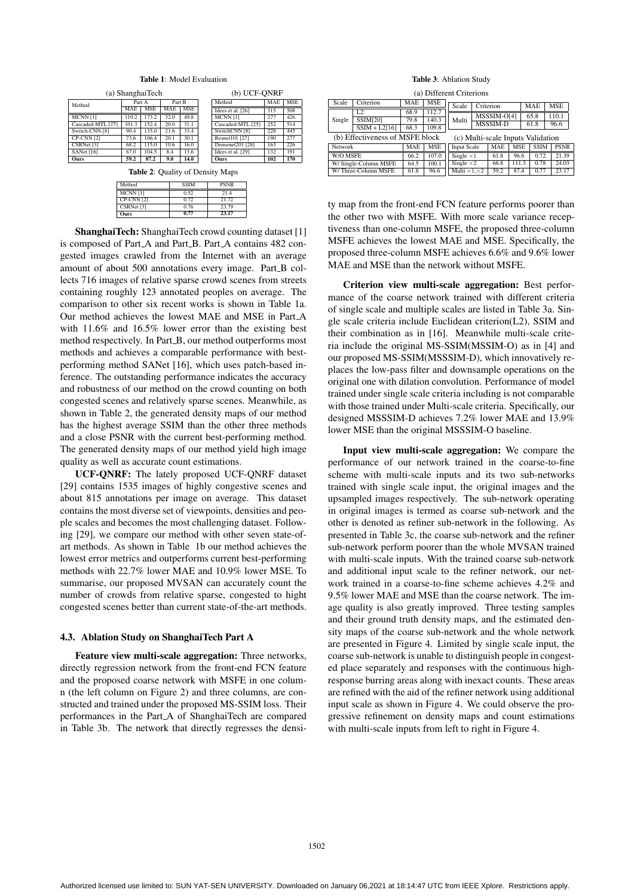| <b>Table 1: Model Evaluation</b> |            |            |        |      |              |                   |            |            |  |  |
|----------------------------------|------------|------------|--------|------|--------------|-------------------|------------|------------|--|--|
| (a) ShanghaiTech                 |            |            |        |      | (b) UCF-ONRF |                   |            |            |  |  |
| Method                           | Part A     |            | Part B |      |              | Method            | <b>MAE</b> | <b>MSE</b> |  |  |
|                                  | <b>MAE</b> | <b>MSE</b> | MAE    | MSE  |              | Idees et al. [26] | 315        | 508        |  |  |
| MCNN [1]                         | 110.2      | 173.2      | 32.0   | 49.8 |              | MCNN [1]          | 277        | 426        |  |  |
| Cascaded-MTL [25]                | 101.3      | 152.4      | 20.0   | 31.1 |              | Cascaded-MTL [25] | 252        | 514        |  |  |
| Switch-CNN [8]                   | 90.4       | 135.0      | 21.6   | 33.4 |              | SwitchCNN [8]     | 228        | 445        |  |  |
| CP-CNN [2]                       | 73.6       | 106.4      | 20.1   | 30.1 |              | Resnet101 [27]    | 190        | 277        |  |  |
| CSRNet [3]                       | 68.2       | 115.0      | 10.6   | 16.0 |              | Densenet201 [28]  | 163        | 226        |  |  |

Table 2: Quality of Density Maps

Idees et al. [29] 132 191 Ours 102 170

SANet [16]  $\begin{array}{|c|c|c|c|c|c|c|c|} \hline \end{array}$  67.0 | 104.5 | 8.4 | 13.6 Ours | 59.2 | 87.2 | 9.0 | 14.0

| Method                         | <b>SSIM</b> | <b>PSNR</b> |
|--------------------------------|-------------|-------------|
| MCNN[1]                        | 0.52        | 21.4        |
| $CP-CNN$ [2]                   | 0.72        | 21.72       |
| $\overline{\text{CSRNet}}$ [3] | 0.76        | 23.79       |
| Ours                           | 0.77        | 23.17       |

ShanghaiTech: ShanghaiTech crowd counting dataset [1] is composed of Part<sub>-A</sub> and Part<sub>-B</sub>. Part<sub>-A</sub> contains 482 congested images crawled from the Internet with an average amount of about 500 annotations every image. Part\_B collects 716 images of relative sparse crowd scenes from streets containing roughly 123 annotated peoples on average. The comparison to other six recent works is shown in Table 1a. Our method achieves the lowest MAE and MSE in Part A with 11.6% and 16.5% lower error than the existing best method respectively. In Part\_B, our method outperforms most methods and achieves a comparable performance with bestperforming method SANet [16], which uses patch-based inference. The outstanding performance indicates the accuracy and robustness of our method on the crowd counting on both congested scenes and relatively sparse scenes. Meanwhile, as shown in Table 2, the generated density maps of our method has the highest average SSIM than the other three methods and a close PSNR with the current best-performing method. The generated density maps of our method yield high image quality as well as accurate count estimations.

UCF-QNRF: The lately proposed UCF-QNRF dataset [29] contains 1535 images of highly congestive scenes and about 815 annotations per image on average. This dataset contains the most diverse set of viewpoints, densities and people scales and becomes the most challenging dataset. Following [29], we compare our method with other seven state-ofart methods. As shown in Table 1b our method achieves the lowest error metrics and outperforms current best-performing methods with 22.7% lower MAE and 10.9% lower MSE. To summarise, our proposed MVSAN can accurately count the number of crowds from relative sparse, congested to hight congested scenes better than current state-of-the-art methods.

#### 4.3. Ablation Study on ShanghaiTech Part A

Feature view multi-scale aggregation: Three networks, directly regression network from the front-end FCN feature and the proposed coarse network with MSFE in one column (the left column on Figure 2) and three columns, are constructed and trained under the proposed MS-SSIM loss. Their performances in the Part A of ShanghaiTech are compared in Table 3b. The network that directly regresses the densi-

Table 3: Ablation Study

| (a) Different Criterions        |                 |            |            |                        |                                   |             |            |             |             |  |
|---------------------------------|-----------------|------------|------------|------------------------|-----------------------------------|-------------|------------|-------------|-------------|--|
| Scale                           | Criterion       | <b>MAE</b> | MSE        | Scale                  | Criterion                         |             |            | <b>MAE</b>  | <b>MSE</b>  |  |
|                                 | I.2             | 68.9       | 112.7      |                        |                                   | MSSSIM-O[4] |            | 65.8        | 110.1       |  |
| Single                          | <b>SSIM[20]</b> | 79.8       | 140.3      | Multi                  | MSSSIM-D                          |             |            | 61.8        | 96.6        |  |
|                                 | $SSIM + L2[16]$ | 68.3       | 109.8      |                        |                                   |             |            |             |             |  |
| (b) Effectiveness of MSFE block |                 |            |            |                        | (c) Multi-scale Inputs Validation |             |            |             |             |  |
| Network                         |                 | <b>MAE</b> | <b>MSE</b> | <b>Input Scale</b>     |                                   | <b>MAE</b>  | <b>MSE</b> | <b>SSIM</b> | <b>PSNR</b> |  |
| W/O MSFE                        |                 | 66.2       | 107.0      | Single $\times 1$      |                                   | 61.8        | 96.6       | 0.72        | 21.39       |  |
| W/ Single-Column MSFE           |                 | 64.5       | 100.1      | Single $\times 2$      |                                   | 66.8        | 111.3      | 0.78        | 24.03       |  |
| W/Three-Column MSFE             |                 | 61.8       | 96.6       | Multi $\times1\times2$ |                                   | 59.2        | 87.4       | 0.77        | 23.17       |  |

ty map from the front-end FCN feature performs poorer than the other two with MSFE. With more scale variance receptiveness than one-column MSFE, the proposed three-column MSFE achieves the lowest MAE and MSE. Specifically, the proposed three-column MSFE achieves 6.6% and 9.6% lower MAE and MSE than the network without MSFE.

Criterion view multi-scale aggregation: Best performance of the coarse network trained with different criteria of single scale and multiple scales are listed in Table 3a. Single scale criteria include Euclidean criterion(L2), SSIM and their combination as in [16]. Meanwhile multi-scale criteria include the original MS-SSIM(MSSIM-O) as in [4] and our proposed MS-SSIM(MSSSIM-D), which innovatively replaces the low-pass filter and downsample operations on the original one with dilation convolution. Performance of model trained under single scale criteria including is not comparable with those trained under Multi-scale criteria. Specifically, our designed MSSSIM-D achieves 7.2% lower MAE and 13.9% lower MSE than the original MSSSIM-O baseline.

Input view multi-scale aggregation: We compare the performance of our network trained in the coarse-to-fine scheme with multi-scale inputs and its two sub-networks trained with single scale input, the original images and the upsampled images respectively. The sub-network operating in original images is termed as coarse sub-network and the other is denoted as refiner sub-network in the following. As presented in Table 3c, the coarse sub-network and the refiner sub-network perform poorer than the whole MVSAN trained with multi-scale inputs. With the trained coarse sub-network and additional input scale to the refiner network, our network trained in a coarse-to-fine scheme achieves 4.2% and 9.5% lower MAE and MSE than the coarse network. The image quality is also greatly improved. Three testing samples and their ground truth density maps, and the estimated density maps of the coarse sub-network and the whole network are presented in Figure 4. Limited by single scale input, the coarse sub-network is unable to distinguish people in congested place separately and responses with the continuous highresponse burring areas along with inexact counts. These areas are refined with the aid of the refiner network using additional input scale as shown in Figure 4. We could observe the progressive refinement on density maps and count estimations with multi-scale inputs from left to right in Figure 4.